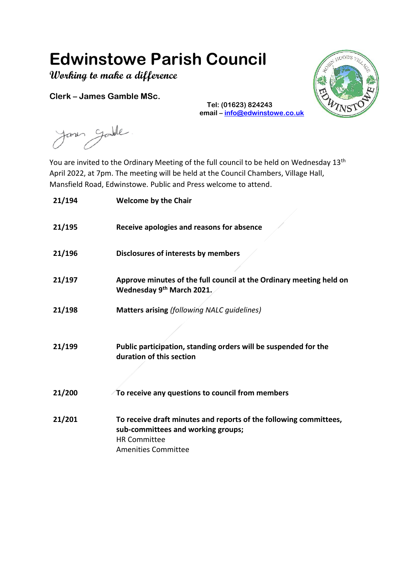## **Edwinstowe Parish Council**

**Working to make a difference**

**Clerk – James Gamble MSc.**



**Tel: (01623) 824243 email – [info@edwinstowe.co.uk](mailto:info@edwinstowe.co.uk)**

Janes Gandle

You are invited to the Ordinary Meeting of the full council to be held on Wednesday 13<sup>th</sup> April 2022, at 7pm. The meeting will be held at the Council Chambers, Village Hall, Mansfield Road, Edwinstowe. Public and Press welcome to attend.

| 21/194 | <b>Welcome by the Chair</b>                                                                                                                                  |
|--------|--------------------------------------------------------------------------------------------------------------------------------------------------------------|
| 21/195 | Receive apologies and reasons for absence                                                                                                                    |
| 21/196 | Disclosures of interests by members                                                                                                                          |
| 21/197 | Approve minutes of the full council at the Ordinary meeting held on<br>Wednesday 9 <sup>th</sup> March 2021.                                                 |
| 21/198 | <b>Matters arising (following NALC guidelines)</b>                                                                                                           |
| 21/199 | Public participation, standing orders will be suspended for the<br>duration of this section                                                                  |
| 21/200 | To receive any questions to council from members                                                                                                             |
| 21/201 | To receive draft minutes and reports of the following committees,<br>sub-committees and working groups;<br><b>HR Committee</b><br><b>Amenities Committee</b> |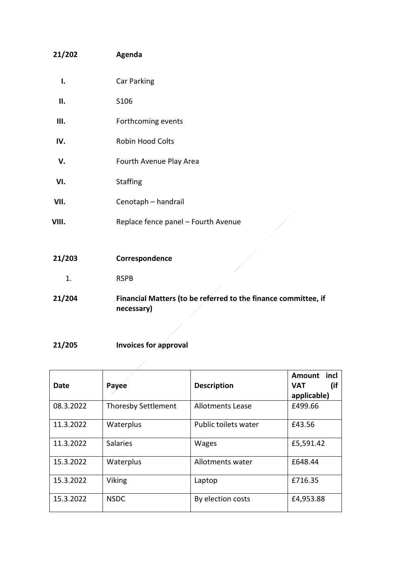| 21/202 | Agenda                                                         |
|--------|----------------------------------------------------------------|
| I.     | Car Parking                                                    |
| П.     | S106                                                           |
| Ш.     | Forthcoming events                                             |
| IV.    | Robin Hood Colts                                               |
| V.     | Fourth Avenue Play Area                                        |
| VI.    | <b>Staffing</b>                                                |
| VII.   | Cenotaph - handrail                                            |
| VIII.  | Replace fence panel - Fourth Avenue                            |
|        |                                                                |
| 21/203 | Correspondence                                                 |
| 1.     | <b>RSPB</b>                                                    |
| 21/204 | Financial Matters (to be referred to the finance committee, if |

- 
- **21/205 Invoices for approval**

**necessary)**

| Date      | Payee                      | <b>Description</b>      | <b>Amount</b><br>incl<br>(if<br><b>VAT</b><br>applicable) |
|-----------|----------------------------|-------------------------|-----------------------------------------------------------|
| 08.3.2022 | <b>Thoresby Settlement</b> | <b>Allotments Lease</b> | £499.66                                                   |
| 11.3.2022 | Waterplus                  | Public toilets water    | £43.56                                                    |
| 11.3.2022 | <b>Salaries</b>            | <b>Wages</b>            | £5,591.42                                                 |
| 15.3.2022 | Waterplus                  | Allotments water        | £648.44                                                   |
| 15.3.2022 | Viking                     | Laptop                  | £716.35                                                   |
| 15.3.2022 | <b>NSDC</b>                | By election costs       | £4,953.88                                                 |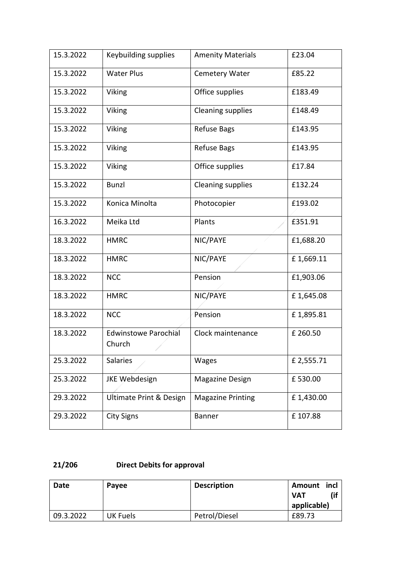| 15.3.2022 | Keybuilding supplies                  | <b>Amenity Materials</b> | £23.04    |
|-----------|---------------------------------------|--------------------------|-----------|
| 15.3.2022 | <b>Water Plus</b>                     | <b>Cemetery Water</b>    | £85.22    |
| 15.3.2022 | Viking                                | Office supplies          | £183.49   |
| 15.3.2022 | Viking                                | <b>Cleaning supplies</b> | £148.49   |
| 15.3.2022 | Viking                                | <b>Refuse Bags</b>       | £143.95   |
| 15.3.2022 | Viking                                | <b>Refuse Bags</b>       | £143.95   |
| 15.3.2022 | Viking                                | Office supplies          | £17.84    |
| 15.3.2022 | <b>Bunzl</b>                          | <b>Cleaning supplies</b> | £132.24   |
| 15.3.2022 | Konica Minolta                        | Photocopier              | £193.02   |
| 16.3.2022 | Meika Ltd                             | Plants                   | £351.91   |
| 18.3.2022 | <b>HMRC</b>                           | NIC/PAYE                 | £1,688.20 |
| 18.3.2022 | <b>HMRC</b>                           | NIC/PAYE                 | £1,669.11 |
| 18.3.2022 | <b>NCC</b>                            | Pension                  | £1,903.06 |
| 18.3.2022 | <b>HMRC</b>                           | NIC/PAYE                 | £1,645.08 |
| 18.3.2022 | <b>NCC</b>                            | Pension                  | £1,895.81 |
| 18.3.2022 | <b>Edwinstowe Parochial</b><br>Church | Clock maintenance        | £ 260.50  |
| 25.3.2022 | Salaries                              | Wages                    | £2,555.71 |
| 25.3.2022 | <b>JKE Webdesign</b>                  | Magazine Design          | £530.00   |
| 29.3.2022 | Ultimate Print & Design               | <b>Magazine Printing</b> | £1,430.00 |
| 29.3.2022 | <b>City Signs</b>                     | <b>Banner</b>            | £107.88   |

## **21/206 Direct Debits for approval**

| Date      | Payee    | <b>Description</b> | incl<br>Amount<br>(if<br>VAT |
|-----------|----------|--------------------|------------------------------|
|           |          |                    | applicable)                  |
| 09.3.2022 | UK Fuels | Petrol/Diesel      | £89.73                       |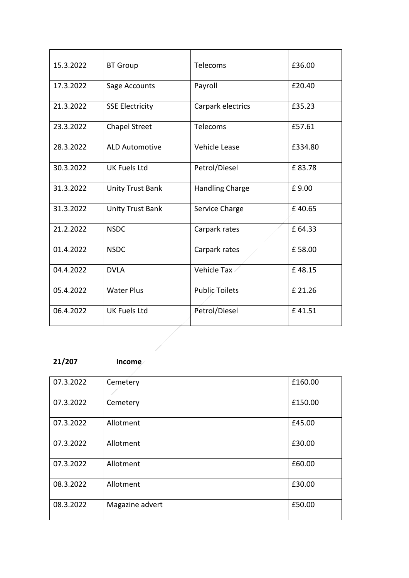| 15.3.2022 | <b>BT Group</b>         | Telecoms               | £36.00  |
|-----------|-------------------------|------------------------|---------|
| 17.3.2022 | Sage Accounts           | Payroll                | £20.40  |
| 21.3.2022 | <b>SSE Electricity</b>  | Carpark electrics      | £35.23  |
| 23.3.2022 | <b>Chapel Street</b>    | Telecoms               | £57.61  |
| 28.3.2022 | <b>ALD Automotive</b>   | Vehicle Lease          | £334.80 |
| 30.3.2022 | <b>UK Fuels Ltd</b>     | Petrol/Diesel          | £83.78  |
| 31.3.2022 | <b>Unity Trust Bank</b> | <b>Handling Charge</b> | £9.00   |
| 31.3.2022 | <b>Unity Trust Bank</b> | Service Charge         | £40.65  |
| 21.2.2022 | <b>NSDC</b>             | Carpark rates          | £ 64.33 |
| 01.4.2022 | <b>NSDC</b>             | Carpark rates          | £58.00  |
| 04.4.2022 | <b>DVLA</b>             | <b>Vehicle Tax</b>     | £48.15  |
| 05.4.2022 | <b>Water Plus</b>       | Public Toilets         | £ 21.26 |
| 06.4.2022 | <b>UK Fuels Ltd</b>     | Petrol/Diesel          | £41.51  |
|           |                         |                        |         |
|           |                         |                        |         |

## **21/207 Income**

| 07.3.2022 | Cemetery        | £160.00 |
|-----------|-----------------|---------|
|           |                 |         |
| 07.3.2022 | Cemetery        | £150.00 |
|           |                 |         |
| 07.3.2022 | Allotment       | £45.00  |
| 07.3.2022 | Allotment       | £30.00  |
| 07.3.2022 | Allotment       | £60.00  |
| 08.3.2022 | Allotment       | £30.00  |
| 08.3.2022 | Magazine advert | £50.00  |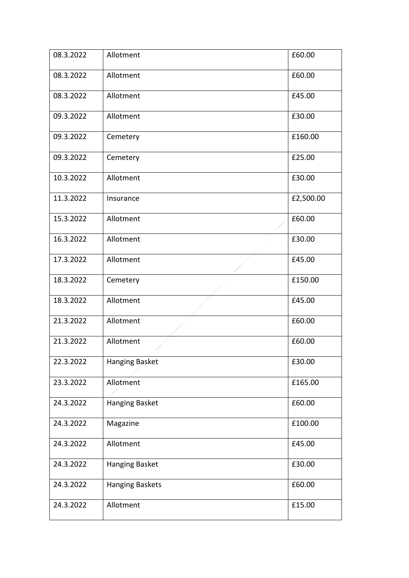| 08.3.2022 | Allotment              | £60.00    |
|-----------|------------------------|-----------|
| 08.3.2022 | Allotment              | £60.00    |
| 08.3.2022 | Allotment              | £45.00    |
| 09.3.2022 | Allotment              | £30.00    |
| 09.3.2022 | Cemetery               | £160.00   |
| 09.3.2022 | Cemetery               | £25.00    |
| 10.3.2022 | Allotment              | £30.00    |
| 11.3.2022 | Insurance              | £2,500.00 |
| 15.3.2022 | Allotment              | £60.00    |
| 16.3.2022 | Allotment              | £30.00    |
| 17.3.2022 | Allotment              | £45.00    |
| 18.3.2022 | Cemetery               | £150.00   |
| 18.3.2022 | Allotment              | £45.00    |
| 21.3.2022 | Allotment              | £60.00    |
| 21.3.2022 | Allotment              | £60.00    |
| 22.3.2022 | Hanging Basket         | £30.00    |
| 23.3.2022 | Allotment              | £165.00   |
| 24.3.2022 | Hanging Basket         | £60.00    |
| 24.3.2022 | Magazine               | £100.00   |
| 24.3.2022 | Allotment              | £45.00    |
| 24.3.2022 | Hanging Basket         | £30.00    |
| 24.3.2022 | <b>Hanging Baskets</b> | £60.00    |
| 24.3.2022 | Allotment              | £15.00    |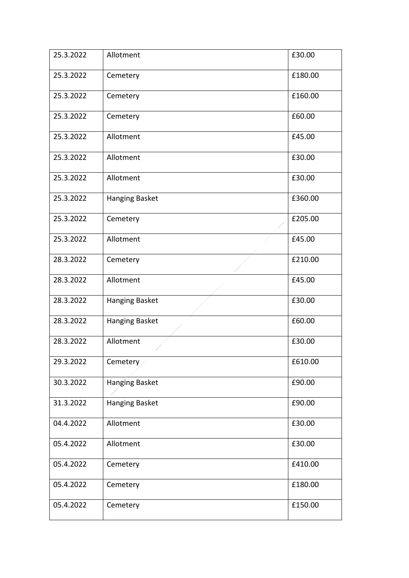| 25.3.2022 | Allotment             | £30.00  |
|-----------|-----------------------|---------|
| 25.3.2022 | Cemetery              | £180.00 |
| 25.3.2022 | Cemetery              | £160.00 |
| 25.3.2022 | Cemetery              | £60.00  |
| 25.3.2022 | Allotment             | £45.00  |
| 25.3.2022 | Allotment             | £30.00  |
| 25.3.2022 | Allotment             | £30.00  |
| 25.3.2022 | Hanging Basket        | £360.00 |
| 25.3.2022 | Cemetery              | £205.00 |
| 25.3.2022 | Allotment             | £45.00  |
| 28.3.2022 | Cemetery              | £210.00 |
| 28.3.2022 | Allotment             | £45.00  |
| 28.3.2022 | Hanging Basket        | £30.00  |
| 28.3.2022 | Hanging Basket        | £60.00  |
| 28.3.2022 | Allotment             | £30.00  |
| 29.3.2022 | Cemetery              | £610.00 |
| 30.3.2022 | <b>Hanging Basket</b> | £90.00  |
| 31.3.2022 | <b>Hanging Basket</b> | £90.00  |
| 04.4.2022 | Allotment             | £30.00  |
| 05.4.2022 | Allotment             | £30.00  |
| 05.4.2022 | Cemetery              | £410.00 |
| 05.4.2022 | Cemetery              | £180.00 |
| 05.4.2022 | Cemetery              | £150.00 |